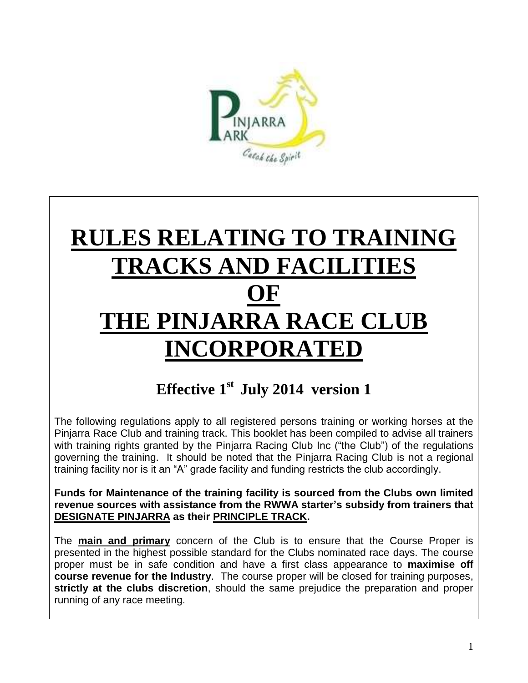

# **RULES RELATING TO TRAINING TRACKS AND FACILITIES OF THE PINJARRA RACE CLUB INCORPORATED**

# **Effective 1 st July 2014 version 1**

The following regulations apply to all registered persons training or working horses at the Pinjarra Race Club and training track. This booklet has been compiled to advise all trainers with training rights granted by the Pinjarra Racing Club Inc ("the Club") of the regulations governing the training. It should be noted that the Pinjarra Racing Club is not a regional training facility nor is it an "A" grade facility and funding restricts the club accordingly.

**Funds for Maintenance of the training facility is sourced from the Clubs own limited revenue sources with assistance from the RWWA starter's subsidy from trainers that DESIGNATE PINJARRA as their PRINCIPLE TRACK.**

The **main and primary** concern of the Club is to ensure that the Course Proper is presented in the highest possible standard for the Clubs nominated race days. The course proper must be in safe condition and have a first class appearance to **maximise off course revenue for the Industry**. The course proper will be closed for training purposes, **strictly at the clubs discretion**, should the same prejudice the preparation and proper running of any race meeting.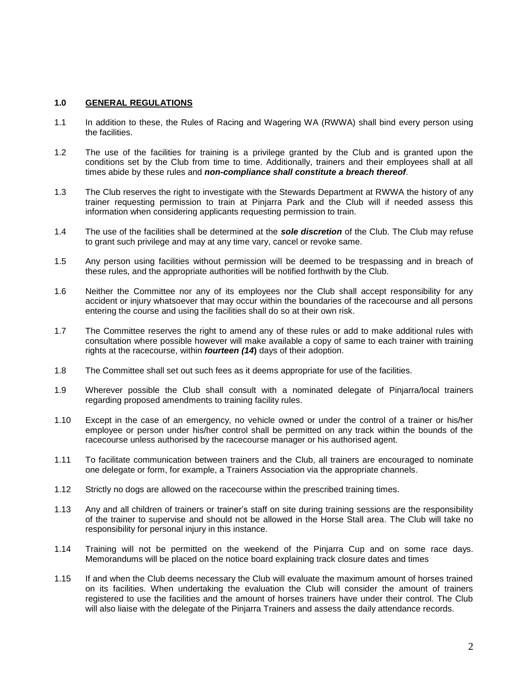#### **1.0 GENERAL REGULATIONS**

- 1.1 In addition to these, the Rules of Racing and Wagering WA (RWWA) shall bind every person using the facilities.
- 1.2 The use of the facilities for training is a privilege granted by the Club and is granted upon the conditions set by the Club from time to time. Additionally, trainers and their employees shall at all times abide by these rules and *non-compliance shall constitute a breach thereof*.
- 1.3 The Club reserves the right to investigate with the Stewards Department at RWWA the history of any trainer requesting permission to train at Pinjarra Park and the Club will if needed assess this information when considering applicants requesting permission to train.
- 1.4 The use of the facilities shall be determined at the *sole discretion* of the Club. The Club may refuse to grant such privilege and may at any time vary, cancel or revoke same.
- 1.5 Any person using facilities without permission will be deemed to be trespassing and in breach of these rules, and the appropriate authorities will be notified forthwith by the Club.
- 1.6 Neither the Committee nor any of its employees nor the Club shall accept responsibility for any accident or injury whatsoever that may occur within the boundaries of the racecourse and all persons entering the course and using the facilities shall do so at their own risk.
- 1.7 The Committee reserves the right to amend any of these rules or add to make additional rules with consultation where possible however will make available a copy of same to each trainer with training rights at the racecourse, within *fourteen (14***)** days of their adoption.
- 1.8 The Committee shall set out such fees as it deems appropriate for use of the facilities.
- 1.9 Wherever possible the Club shall consult with a nominated delegate of Pinjarra/local trainers regarding proposed amendments to training facility rules.
- 1.10 Except in the case of an emergency, no vehicle owned or under the control of a trainer or his/her employee or person under his/her control shall be permitted on any track within the bounds of the racecourse unless authorised by the racecourse manager or his authorised agent.
- 1.11 To facilitate communication between trainers and the Club, all trainers are encouraged to nominate one delegate or form, for example, a Trainers Association via the appropriate channels.
- 1.12 Strictly no dogs are allowed on the racecourse within the prescribed training times.
- 1.13 Any and all children of trainers or trainer's staff on site during training sessions are the responsibility of the trainer to supervise and should not be allowed in the Horse Stall area. The Club will take no responsibility for personal injury in this instance.
- 1.14 Training will not be permitted on the weekend of the Pinjarra Cup and on some race days. Memorandums will be placed on the notice board explaining track closure dates and times
- 1.15 If and when the Club deems necessary the Club will evaluate the maximum amount of horses trained on its facilities. When undertaking the evaluation the Club will consider the amount of trainers registered to use the facilities and the amount of horses trainers have under their control. The Club will also liaise with the delegate of the Pinjarra Trainers and assess the daily attendance records.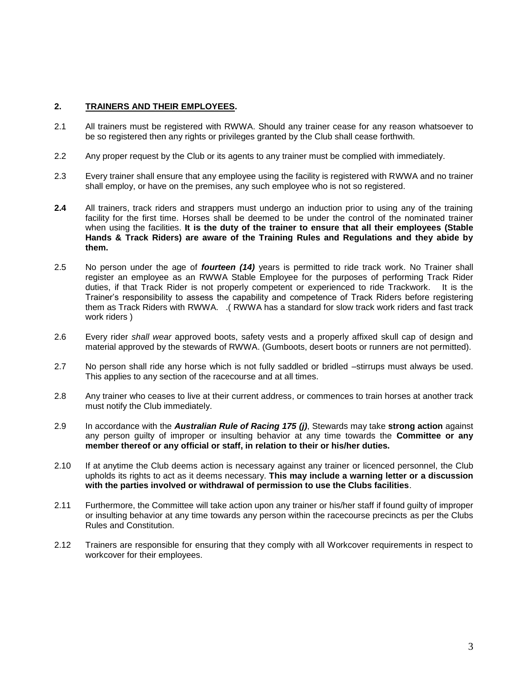#### **2. TRAINERS AND THEIR EMPLOYEES.**

- 2.1 All trainers must be registered with RWWA. Should any trainer cease for any reason whatsoever to be so registered then any rights or privileges granted by the Club shall cease forthwith.
- 2.2 Any proper request by the Club or its agents to any trainer must be complied with immediately.
- 2.3 Every trainer shall ensure that any employee using the facility is registered with RWWA and no trainer shall employ, or have on the premises, any such employee who is not so registered.
- **2.4** All trainers, track riders and strappers must undergo an induction prior to using any of the training facility for the first time. Horses shall be deemed to be under the control of the nominated trainer when using the facilities. **It is the duty of the trainer to ensure that all their employees (Stable Hands & Track Riders) are aware of the Training Rules and Regulations and they abide by them.**
- 2.5 No person under the age of *fourteen (14)* years is permitted to ride track work. No Trainer shall register an employee as an RWWA Stable Employee for the purposes of performing Track Rider duties, if that Track Rider is not properly competent or experienced to ride Trackwork. It is the Trainer's responsibility to assess the capability and competence of Track Riders before registering them as Track Riders with RWWA. .( RWWA has a standard for slow track work riders and fast track work riders )
- 2.6 Every rider *shall wear* approved boots, safety vests and a properly affixed skull cap of design and material approved by the stewards of RWWA. (Gumboots, desert boots or runners are not permitted).
- 2.7 No person shall ride any horse which is not fully saddled or bridled –stirrups must always be used. This applies to any section of the racecourse and at all times.
- 2.8 Any trainer who ceases to live at their current address, or commences to train horses at another track must notify the Club immediately.
- 2.9 In accordance with the *Australian Rule of Racing 175 (j)*, Stewards may take **strong action** against any person guilty of improper or insulting behavior at any time towards the **Committee or any member thereof or any official or staff, in relation to their or his/her duties.**
- 2.10 If at anytime the Club deems action is necessary against any trainer or licenced personnel, the Club upholds its rights to act as it deems necessary. **This may include a warning letter or a discussion with the parties involved or withdrawal of permission to use the Clubs facilities**.
- 2.11 Furthermore, the Committee will take action upon any trainer or his/her staff if found guilty of improper or insulting behavior at any time towards any person within the racecourse precincts as per the Clubs Rules and Constitution.
- 2.12 Trainers are responsible for ensuring that they comply with all Workcover requirements in respect to workcover for their employees.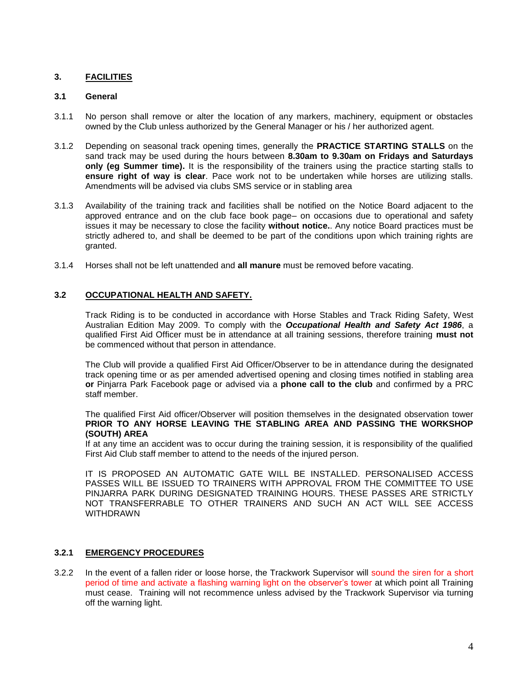#### **3. FACILITIES**

#### **3.1 General**

- 3.1.1 No person shall remove or alter the location of any markers, machinery, equipment or obstacles owned by the Club unless authorized by the General Manager or his / her authorized agent.
- 3.1.2 Depending on seasonal track opening times, generally the **PRACTICE STARTING STALLS** on the sand track may be used during the hours between **8.30am to 9.30am on Fridays and Saturdays only (eg Summer time).** It is the responsibility of the trainers using the practice starting stalls to **ensure right of way is clear**. Pace work not to be undertaken while horses are utilizing stalls. Amendments will be advised via clubs SMS service or in stabling area
- 3.1.3 Availability of the training track and facilities shall be notified on the Notice Board adjacent to the approved entrance and on the club face book page– on occasions due to operational and safety issues it may be necessary to close the facility **without notice.**. Any notice Board practices must be strictly adhered to, and shall be deemed to be part of the conditions upon which training rights are granted.
- 3.1.4 Horses shall not be left unattended and **all manure** must be removed before vacating.

#### **3.2 OCCUPATIONAL HEALTH AND SAFETY.**

Track Riding is to be conducted in accordance with Horse Stables and Track Riding Safety, West Australian Edition May 2009. To comply with the *Occupational Health and Safety Act 1986*, a qualified First Aid Officer must be in attendance at all training sessions, therefore training **must not** be commenced without that person in attendance.

The Club will provide a qualified First Aid Officer/Observer to be in attendance during the designated track opening time or as per amended advertised opening and closing times notified in stabling area **or** Pinjarra Park Facebook page or advised via a **phone call to the club** and confirmed by a PRC staff member.

The qualified First Aid officer/Observer will position themselves in the designated observation tower **PRIOR TO ANY HORSE LEAVING THE STABLING AREA AND PASSING THE WORKSHOP (SOUTH) AREA**

If at any time an accident was to occur during the training session, it is responsibility of the qualified First Aid Club staff member to attend to the needs of the injured person.

IT IS PROPOSED AN AUTOMATIC GATE WILL BE INSTALLED. PERSONALISED ACCESS PASSES WILL BE ISSUED TO TRAINERS WITH APPROVAL FROM THE COMMITTEE TO USE PINJARRA PARK DURING DESIGNATED TRAINING HOURS. THESE PASSES ARE STRICTLY NOT TRANSFERRABLE TO OTHER TRAINERS AND SUCH AN ACT WILL SEE ACCESS WITHDRAWN

#### **3.2.1 EMERGENCY PROCEDURES**

3.2.2 In the event of a fallen rider or loose horse, the Trackwork Supervisor will sound the siren for a short period of time and activate a flashing warning light on the observer's tower at which point all Training must cease. Training will not recommence unless advised by the Trackwork Supervisor via turning off the warning light.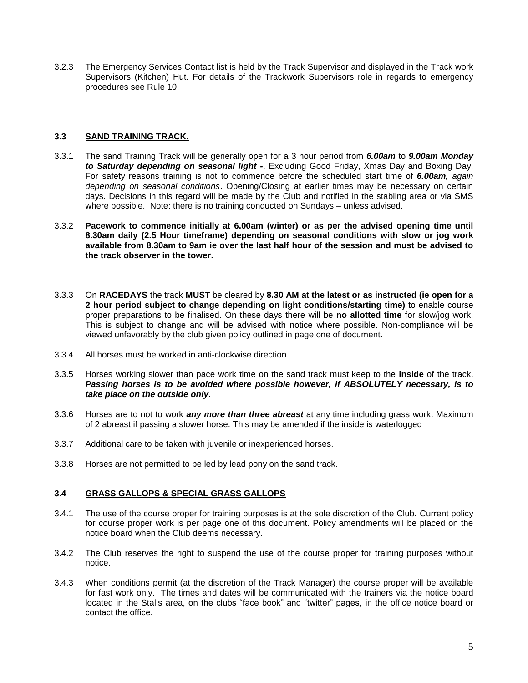3.2.3 The Emergency Services Contact list is held by the Track Supervisor and displayed in the Track work Supervisors (Kitchen) Hut. For details of the Trackwork Supervisors role in regards to emergency procedures see Rule 10.

#### **3.3 SAND TRAINING TRACK.**

- 3.3.1 The sand Training Track will be generally open for a 3 hour period from *6.00am* to *9.00am Monday to Saturday depending on seasonal light -*. Excluding Good Friday, Xmas Day and Boxing Day. For safety reasons training is not to commence before the scheduled start time of *6.00am, again depending on seasonal conditions*. Opening/Closing at earlier times may be necessary on certain days. Decisions in this regard will be made by the Club and notified in the stabling area or via SMS where possible. Note: there is no training conducted on Sundays – unless advised.
- 3.3.2 **Pacework to commence initially at 6.00am (winter) or as per the advised opening time until 8.30am daily (2.5 Hour timeframe) depending on seasonal conditions with slow or jog work available from 8.30am to 9am ie over the last half hour of the session and must be advised to the track observer in the tower.**
- 3.3.3 On **RACEDAYS** the track **MUST** be cleared by **8.30 AM at the latest or as instructed (ie open for a 2 hour period subject to change depending on light conditions/starting time)** to enable course proper preparations to be finalised. On these days there will be **no allotted time** for slow/jog work. This is subject to change and will be advised with notice where possible. Non-compliance will be viewed unfavorably by the club given policy outlined in page one of document.
- 3.3.4 All horses must be worked in anti-clockwise direction.
- 3.3.5 Horses working slower than pace work time on the sand track must keep to the **inside** of the track. *Passing horses is to be avoided where possible however, if ABSOLUTELY necessary, is to take place on the outside only*.
- 3.3.6 Horses are to not to work *any more than three abreast* at any time including grass work. Maximum of 2 abreast if passing a slower horse. This may be amended if the inside is waterlogged
- 3.3.7 Additional care to be taken with juvenile or inexperienced horses.
- 3.3.8 Horses are not permitted to be led by lead pony on the sand track.

#### **3.4 GRASS GALLOPS & SPECIAL GRASS GALLOPS**

- 3.4.1 The use of the course proper for training purposes is at the sole discretion of the Club. Current policy for course proper work is per page one of this document. Policy amendments will be placed on the notice board when the Club deems necessary.
- 3.4.2 The Club reserves the right to suspend the use of the course proper for training purposes without notice.
- 3.4.3 When conditions permit (at the discretion of the Track Manager) the course proper will be available for fast work only. The times and dates will be communicated with the trainers via the notice board located in the Stalls area, on the clubs "face book" and "twitter" pages, in the office notice board or contact the office.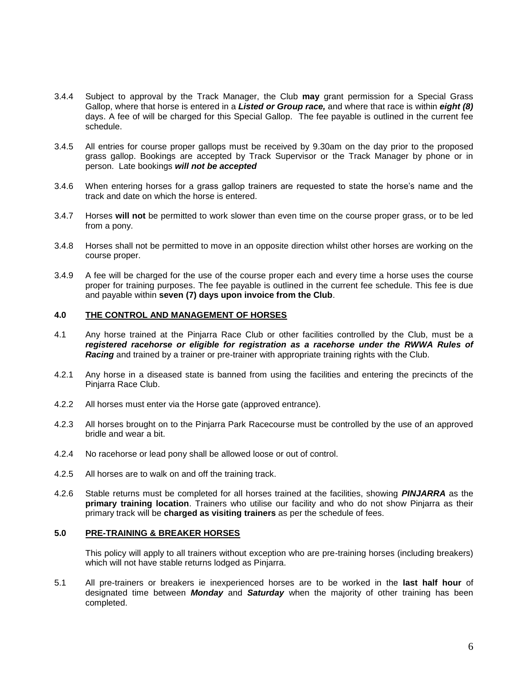- 3.4.4 Subject to approval by the Track Manager, the Club **may** grant permission for a Special Grass Gallop, where that horse is entered in a *Listed or Group race,* and where that race is within *eight (8)* days. A fee of will be charged for this Special Gallop. The fee payable is outlined in the current fee schedule.
- 3.4.5 All entries for course proper gallops must be received by 9.30am on the day prior to the proposed grass gallop. Bookings are accepted by Track Supervisor or the Track Manager by phone or in person. Late bookings *will not be accepted*
- 3.4.6 When entering horses for a grass gallop trainers are requested to state the horse's name and the track and date on which the horse is entered.
- 3.4.7 Horses **will not** be permitted to work slower than even time on the course proper grass, or to be led from a pony.
- 3.4.8 Horses shall not be permitted to move in an opposite direction whilst other horses are working on the course proper.
- 3.4.9 A fee will be charged for the use of the course proper each and every time a horse uses the course proper for training purposes. The fee payable is outlined in the current fee schedule. This fee is due and payable within **seven (7) days upon invoice from the Club**.

#### **4.0 THE CONTROL AND MANAGEMENT OF HORSES**

- 4.1 Any horse trained at the Pinjarra Race Club or other facilities controlled by the Club, must be a *registered racehorse or eligible for registration as a racehorse under the RWWA Rules of Racing* and trained by a trainer or pre-trainer with appropriate training rights with the Club.
- 4.2.1 Any horse in a diseased state is banned from using the facilities and entering the precincts of the Pinjarra Race Club.
- 4.2.2 All horses must enter via the Horse gate (approved entrance).
- 4.2.3 All horses brought on to the Pinjarra Park Racecourse must be controlled by the use of an approved bridle and wear a bit.
- 4.2.4 No racehorse or lead pony shall be allowed loose or out of control.
- 4.2.5 All horses are to walk on and off the training track.
- 4.2.6 Stable returns must be completed for all horses trained at the facilities, showing *PINJARRA* as the **primary training location**. Trainers who utilise our facility and who do not show Pinjarra as their primary track will be **charged as visiting trainers** as per the schedule of fees.

#### **5.0 PRE-TRAINING & BREAKER HORSES**

This policy will apply to all trainers without exception who are pre-training horses (including breakers) which will not have stable returns lodged as Pinjarra.

5.1 All pre-trainers or breakers ie inexperienced horses are to be worked in the **last half hour** of designated time between *Monday* and *Saturday* when the majority of other training has been completed.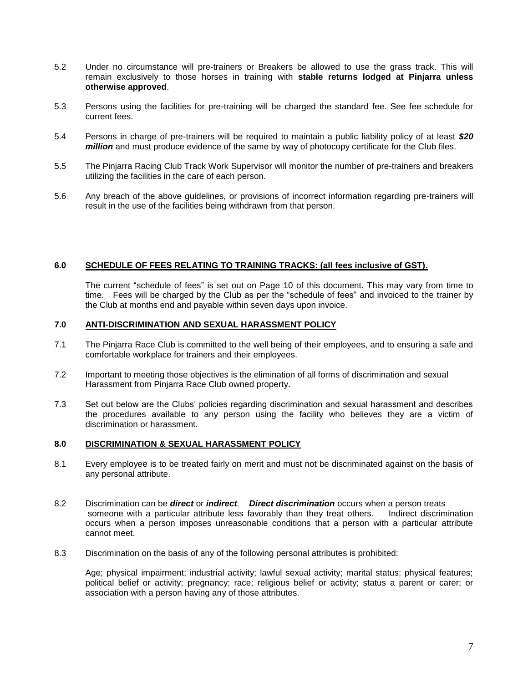- 5.2 Under no circumstance will pre-trainers or Breakers be allowed to use the grass track. This will remain exclusively to those horses in training with **stable returns lodged at Pinjarra unless otherwise approved**.
- 5.3 Persons using the facilities for pre-training will be charged the standard fee. See fee schedule for current fees.
- 5.4 Persons in charge of pre-trainers will be required to maintain a public liability policy of at least *\$20 million* and must produce evidence of the same by way of photocopy certificate for the Club files.
- 5.5 The Pinjarra Racing Club Track Work Supervisor will monitor the number of pre-trainers and breakers utilizing the facilities in the care of each person.
- 5.6 Any breach of the above guidelines, or provisions of incorrect information regarding pre-trainers will result in the use of the facilities being withdrawn from that person.

#### **6.0 SCHEDULE OF FEES RELATING TO TRAINING TRACKS: (all fees inclusive of GST).**

The current "schedule of fees" is set out on Page 10 of this document. This may vary from time to time. Fees will be charged by the Club as per the "schedule of fees" and invoiced to the trainer by the Club at months end and payable within seven days upon invoice.

#### **7.0 ANTI-DISCRIMINATION AND SEXUAL HARASSMENT POLICY**

- 7.1 The Pinjarra Race Club is committed to the well being of their employees, and to ensuring a safe and comfortable workplace for trainers and their employees.
- 7.2 Important to meeting those objectives is the elimination of all forms of discrimination and sexual Harassment from Pinjarra Race Club owned property.
- 7.3 Set out below are the Clubs' policies regarding discrimination and sexual harassment and describes the procedures available to any person using the facility who believes they are a victim of discrimination or harassment.

#### **8.0 DISCRIMINATION & SEXUAL HARASSMENT POLICY**

- 8.1 Every employee is to be treated fairly on merit and must not be discriminated against on the basis of any personal attribute.
- 8.2 Discrimination can be *direct* or *indirect. Direct discrimination* occurs when a person treats someone with a particular attribute less favorably than they treat others. Indirect discrimination occurs when a person imposes unreasonable conditions that a person with a particular attribute cannot meet.
- 8.3 Discrimination on the basis of any of the following personal attributes is prohibited:

Age; physical impairment; industrial activity; lawful sexual activity; marital status; physical features; political belief or activity; pregnancy; race; religious belief or activity; status a parent or carer; or association with a person having any of those attributes.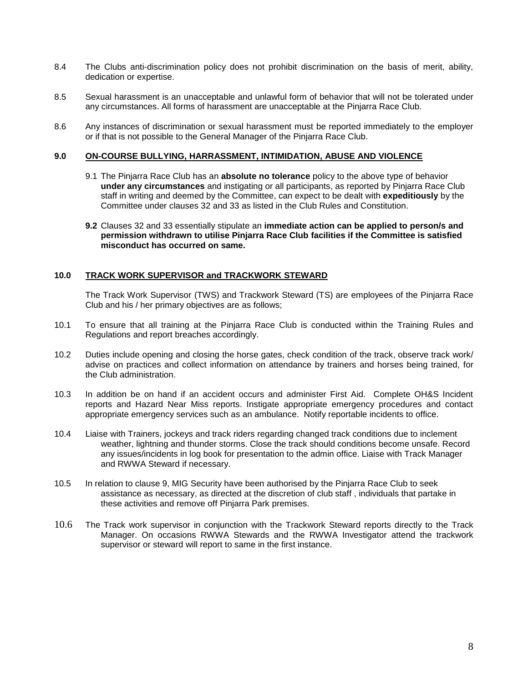- 8.4 The Clubs anti-discrimination policy does not prohibit discrimination on the basis of merit, ability, dedication or expertise.
- 8.5 Sexual harassment is an unacceptable and unlawful form of behavior that will not be tolerated under any circumstances. All forms of harassment are unacceptable at the Pinjarra Race Club.
- 8.6 Any instances of discrimination or sexual harassment must be reported immediately to the employer or if that is not possible to the General Manager of the Pinjarra Race Club.

#### **9.0 ON-COURSE BULLYING, HARRASSMENT, INTIMIDATION, ABUSE AND VIOLENCE**

- 9.1 The Pinjarra Race Club has an **absolute no tolerance** policy to the above type of behavior **under any circumstances** and instigating or all participants, as reported by Pinjarra Race Club staff in writing and deemed by the Committee, can expect to be dealt with **expeditiously** by the Committee under clauses 32 and 33 as listed in the Club Rules and Constitution.
- **9.2** Clauses 32 and 33 essentially stipulate an **immediate action can be applied to person/s and permission withdrawn to utilise Pinjarra Race Club facilities if the Committee is satisfied misconduct has occurred on same.**

#### **10.0 TRACK WORK SUPERVISOR and TRACKWORK STEWARD**

The Track Work Supervisor (TWS) and Trackwork Steward (TS) are employees of the Pinjarra Race Club and his / her primary objectives are as follows;

- 10.1 To ensure that all training at the Pinjarra Race Club is conducted within the Training Rules and Regulations and report breaches accordingly.
- 10.2 Duties include opening and closing the horse gates, check condition of the track, observe track work/ advise on practices and collect information on attendance by trainers and horses being trained, for the Club administration.
- 10.3 In addition be on hand if an accident occurs and administer First Aid. Complete OH&S Incident reports and Hazard Near Miss reports. Instigate appropriate emergency procedures and contact appropriate emergency services such as an ambulance. Notify reportable incidents to office.
- 10.4 Liaise with Trainers, jockeys and track riders regarding changed track conditions due to inclement weather, lightning and thunder storms. Close the track should conditions become unsafe. Record any issues/incidents in log book for presentation to the admin office. Liaise with Track Manager and RWWA Steward if necessary.
- 10.5 In relation to clause 9, MIG Security have been authorised by the Pinjarra Race Club to seek assistance as necessary, as directed at the discretion of club staff , individuals that partake in these activities and remove off Pinjarra Park premises.
- 10.6 The Track work supervisor in conjunction with the Trackwork Steward reports directly to the Track Manager. On occasions RWWA Stewards and the RWWA Investigator attend the trackwork supervisor or steward will report to same in the first instance.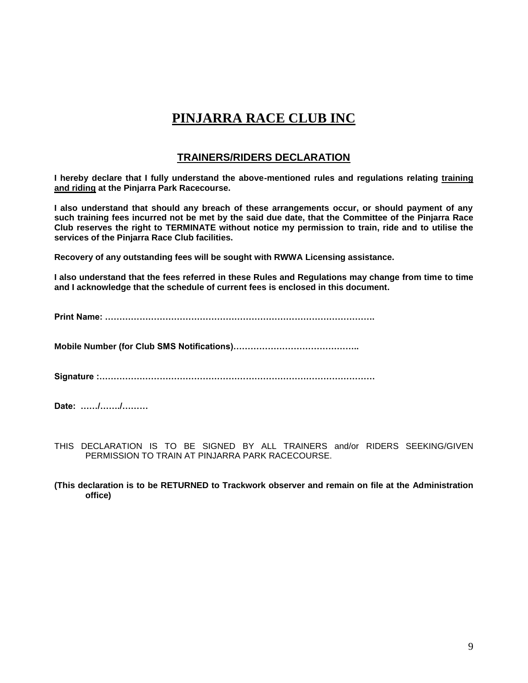# **PINJARRA RACE CLUB INC**

#### **TRAINERS/RIDERS DECLARATION**

**I hereby declare that I fully understand the above-mentioned rules and regulations relating training and riding at the Pinjarra Park Racecourse.**

**I also understand that should any breach of these arrangements occur, or should payment of any such training fees incurred not be met by the said due date, that the Committee of the Pinjarra Race Club reserves the right to TERMINATE without notice my permission to train, ride and to utilise the services of the Pinjarra Race Club facilities.**

**Recovery of any outstanding fees will be sought with RWWA Licensing assistance.**

**I also understand that the fees referred in these Rules and Regulations may change from time to time and I acknowledge that the schedule of current fees is enclosed in this document.**

**Print Name: ………………………………………………………………………………….**

**Mobile Number (for Club SMS Notifications)……………………………………..**

**Signature :……………………………………………………………………………………**

**Date: ……/……./………**

- THIS DECLARATION IS TO BE SIGNED BY ALL TRAINERS and/or RIDERS SEEKING/GIVEN PERMISSION TO TRAIN AT PINJARRA PARK RACECOURSE.
- **(This declaration is to be RETURNED to Trackwork observer and remain on file at the Administration office)**